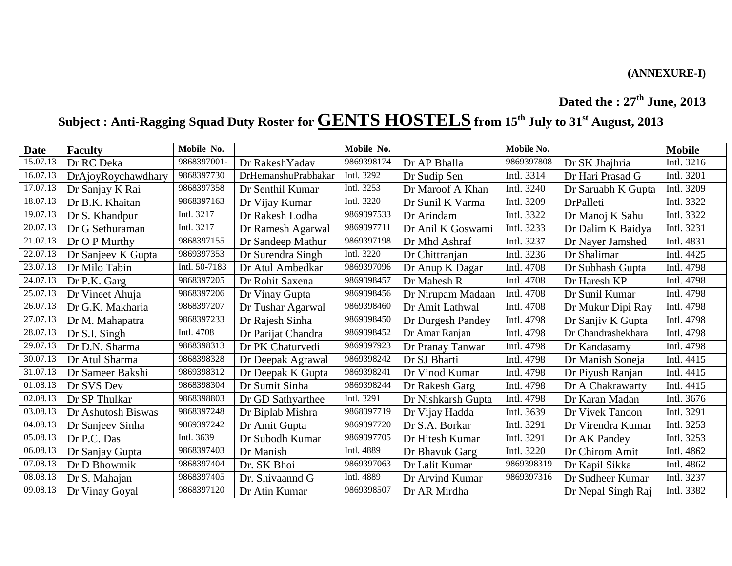## **Dated the : 27 th June, 2013**

# **Subject : Anti-Ragging Squad Duty Roster for GENTS HOSTELS from 15 th July to 31st August, 2013**

| <b>Date</b> | <b>Faculty</b>     | Mobile No.    |                     | Mobile No. |                    | Mobile No. |                    | <b>Mobile</b> |
|-------------|--------------------|---------------|---------------------|------------|--------------------|------------|--------------------|---------------|
| 15.07.13    | Dr RC Deka         | 9868397001-   | Dr RakeshYadav      | 9869398174 | Dr AP Bhalla       | 9869397808 | Dr SK Jhajhria     | Intl. 3216    |
| 16.07.13    | DrAjoyRoychawdhary | 9868397730    | DrHemanshuPrabhakar | Intl. 3292 | Dr Sudip Sen       | Intl. 3314 | Dr Hari Prasad G   | Intl. 3201    |
| 17.07.13    | Dr Sanjay K Rai    | 9868397358    | Dr Senthil Kumar    | Intl. 3253 | Dr Maroof A Khan   | Intl. 3240 | Dr Saruabh K Gupta | Intl. 3209    |
| 18.07.13    | Dr B.K. Khaitan    | 9868397163    | Dr Vijay Kumar      | Intl. 3220 | Dr Sunil K Varma   | Intl. 3209 | DrPalleti          | Intl. 3322    |
| 19.07.13    | Dr S. Khandpur     | Intl. 3217    | Dr Rakesh Lodha     | 9869397533 | Dr Arindam         | Intl. 3322 | Dr Manoj K Sahu    | Intl. 3322    |
| 20.07.13    | Dr G Sethuraman    | Intl. 3217    | Dr Ramesh Agarwal   | 9869397711 | Dr Anil K Goswami  | Intl. 3233 | Dr Dalim K Baidya  | Intl. 3231    |
| 21.07.13    | Dr O P Murthy      | 9868397155    | Dr Sandeep Mathur   | 9869397198 | Dr Mhd Ashraf      | Intl. 3237 | Dr Nayer Jamshed   | Intl. 4831    |
| 22.07.13    | Dr Sanjeev K Gupta | 9869397353    | Dr Surendra Singh   | Intl. 3220 | Dr Chittranjan     | Intl. 3236 | Dr Shalimar        | Intl. 4425    |
| 23.07.13    | Dr Milo Tabin      | Intl. 50-7183 | Dr Atul Ambedkar    | 9869397096 | Dr Anup K Dagar    | Intl. 4708 | Dr Subhash Gupta   | Intl. 4798    |
| 24.07.13    | Dr P.K. Garg       | 9868397205    | Dr Rohit Saxena     | 9869398457 | Dr Mahesh R        | Intl. 4708 | Dr Haresh KP       | Intl. 4798    |
| 25.07.13    | Dr Vineet Ahuja    | 9868397206    | Dr Vinay Gupta      | 9869398456 | Dr Nirupam Madaan  | Intl. 4708 | Dr Sunil Kumar     | Intl. 4798    |
| 26.07.13    | Dr G.K. Makharia   | 9868397207    | Dr Tushar Agarwal   | 9869398460 | Dr Amit Lathwal    | Intl. 4708 | Dr Mukur Dipi Ray  | Intl. 4798    |
| 27.07.13    | Dr M. Mahapatra    | 9868397233    | Dr Rajesh Sinha     | 9869398450 | Dr Durgesh Pandey  | Intl. 4798 | Dr Sanjiv K Gupta  | Intl. 4798    |
| 28.07.13    | Dr S.I. Singh      | Intl. 4708    | Dr Parijat Chandra  | 9869398452 | Dr Amar Ranjan     | Intl. 4798 | Dr Chandrashekhara | Intl. 4798    |
| 29.07.13    | Dr D.N. Sharma     | 9868398313    | Dr PK Chaturvedi    | 9869397923 | Dr Pranay Tanwar   | Intl. 4798 | Dr Kandasamy       | Intl. 4798    |
| 30.07.13    | Dr Atul Sharma     | 9868398328    | Dr Deepak Agrawal   | 9869398242 | Dr SJ Bharti       | Intl. 4798 | Dr Manish Soneja   | Intl. 4415    |
| 31.07.13    | Dr Sameer Bakshi   | 9869398312    | Dr Deepak K Gupta   | 9869398241 | Dr Vinod Kumar     | Intl. 4798 | Dr Piyush Ranjan   | Intl. 4415    |
| 01.08.13    | Dr SVS Dev         | 9868398304    | Dr Sumit Sinha      | 9869398244 | Dr Rakesh Garg     | Intl. 4798 | Dr A Chakrawarty   | Intl. 4415    |
| 02.08.13    | Dr SP Thulkar      | 9868398803    | Dr GD Sathyarthee   | Intl. 3291 | Dr Nishkarsh Gupta | Intl. 4798 | Dr Karan Madan     | Intl. 3676    |
| 03.08.13    | Dr Ashutosh Biswas | 9868397248    | Dr Biplab Mishra    | 9868397719 | Dr Vijay Hadda     | Intl. 3639 | Dr Vivek Tandon    | Intl. 3291    |
| 04.08.13    | Dr Sanjeev Sinha   | 9869397242    | Dr Amit Gupta       | 9869397720 | Dr S.A. Borkar     | Intl. 3291 | Dr Virendra Kumar  | Intl. 3253    |
| 05.08.13    | Dr P.C. Das        | Intl. 3639    | Dr Subodh Kumar     | 9869397705 | Dr Hitesh Kumar    | Intl. 3291 | Dr AK Pandey       | Intl. 3253    |
| 06.08.13    | Dr Sanjay Gupta    | 9868397403    | Dr Manish           | Intl. 4889 | Dr Bhavuk Garg     | Intl. 3220 | Dr Chirom Amit     | Intl. 4862    |
| 07.08.13    | Dr D Bhowmik       | 9868397404    | Dr. SK Bhoi         | 9869397063 | Dr Lalit Kumar     | 9869398319 | Dr Kapil Sikka     | Intl. 4862    |
| 08.08.13    | Dr S. Mahajan      | 9868397405    | Dr. Shivaannd G     | Intl. 4889 | Dr Arvind Kumar    | 9869397316 | Dr Sudheer Kumar   | Intl. 3237    |
| 09.08.13    | Dr Vinay Goyal     | 9868397120    | Dr Atin Kumar       | 9869398507 | Dr AR Mirdha       |            | Dr Nepal Singh Raj | Intl. 3382    |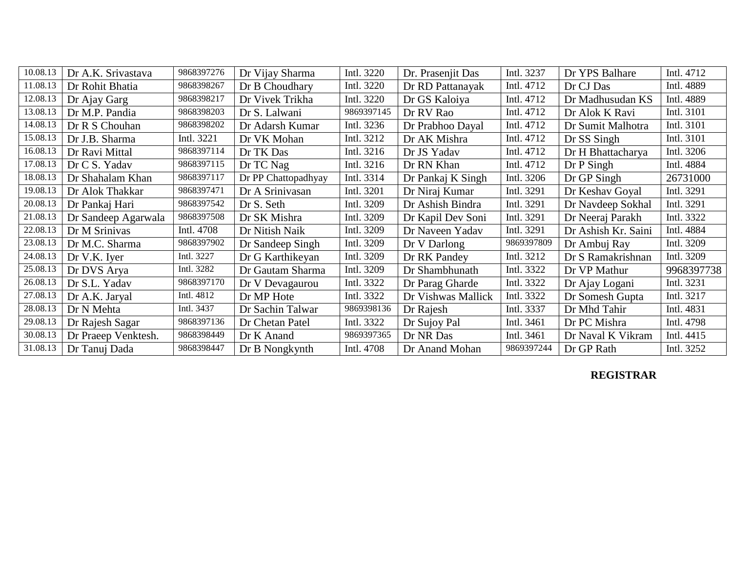| 10.08.13 | Dr A.K. Srivastava  | 9868397276 | Dr Vijay Sharma     | Intl. 3220 | Dr. Prasenjit Das  | Intl. 3237 | Dr YPS Balhare      | Intl. 4712 |
|----------|---------------------|------------|---------------------|------------|--------------------|------------|---------------------|------------|
| 11.08.13 | Dr Rohit Bhatia     | 9868398267 | Dr B Choudhary      | Intl. 3220 | Dr RD Pattanayak   | Intl. 4712 | Dr CJ Das           | Intl. 4889 |
| 12.08.13 | Dr Ajay Garg        | 9868398217 | Dr Vivek Trikha     | Intl. 3220 | Dr GS Kaloiya      | Intl. 4712 | Dr Madhusudan KS    | Intl. 4889 |
| 13.08.13 | Dr M.P. Pandia      | 9868398203 | Dr S. Lalwani       | 9869397145 | Dr RV Rao          | Intl. 4712 | Dr Alok K Ravi      | Intl. 3101 |
| 14.08.13 | Dr R S Chouhan      | 9868398202 | Dr Adarsh Kumar     | Intl. 3236 | Dr Prabhoo Dayal   | Intl. 4712 | Dr Sumit Malhotra   | Intl. 3101 |
| 15.08.13 | Dr J.B. Sharma      | Intl. 3221 | Dr VK Mohan         | Intl. 3212 | Dr AK Mishra       | Intl. 4712 | Dr SS Singh         | Intl. 3101 |
| 16.08.13 | Dr Ravi Mittal      | 9868397114 | Dr TK Das           | Intl. 3216 | Dr JS Yadav        | Intl. 4712 | Dr H Bhattacharya   | Intl. 3206 |
| 17.08.13 | Dr C S. Yadav       | 9868397115 | Dr TC Nag           | Intl. 3216 | Dr RN Khan         | Intl. 4712 | $Dr P$ Singh        | Intl. 4884 |
| 18.08.13 | Dr Shahalam Khan    | 9868397117 | Dr PP Chattopadhyay | Intl. 3314 | Dr Pankaj K Singh  | Intl. 3206 | Dr GP Singh         | 26731000   |
| 19.08.13 | Dr Alok Thakkar     | 9868397471 | Dr A Srinivasan     | Intl. 3201 | Dr Niraj Kumar     | Intl. 3291 | Dr Keshav Goyal     | Intl. 3291 |
| 20.08.13 | Dr Pankaj Hari      | 9868397542 | Dr S. Seth          | Intl. 3209 | Dr Ashish Bindra   | Intl. 3291 | Dr Navdeep Sokhal   | Intl. 3291 |
| 21.08.13 | Dr Sandeep Agarwala | 9868397508 | Dr SK Mishra        | Intl. 3209 | Dr Kapil Dev Soni  | Intl. 3291 | Dr Neeraj Parakh    | Intl. 3322 |
| 22.08.13 | Dr M Srinivas       | Intl. 4708 | Dr Nitish Naik      | Intl. 3209 | Dr Naveen Yadav    | Intl. 3291 | Dr Ashish Kr. Saini | Intl. 4884 |
| 23.08.13 | Dr M.C. Sharma      | 9868397902 | Dr Sandeep Singh    | Intl. 3209 | Dr V Darlong       | 9869397809 | Dr Ambuj Ray        | Intl. 3209 |
| 24.08.13 | Dr V.K. Iyer        | Intl. 3227 | Dr G Karthikeyan    | Intl. 3209 | Dr RK Pandey       | Intl. 3212 | Dr S Ramakrishnan   | Intl. 3209 |
| 25.08.13 | Dr DVS Arya         | Intl. 3282 | Dr Gautam Sharma    | Intl. 3209 | Dr Shambhunath     | Intl. 3322 | Dr VP Mathur        | 9968397738 |
| 26.08.13 | Dr S.L. Yadav       | 9868397170 | Dr V Devagaurou     | Intl. 3322 | Dr Parag Gharde    | Intl. 3322 | Dr Ajay Logani      | Intl. 3231 |
| 27.08.13 | Dr A.K. Jaryal      | Intl. 4812 | Dr MP Hote          | Intl. 3322 | Dr Vishwas Mallick | Intl. 3322 | Dr Somesh Gupta     | Intl. 3217 |
| 28.08.13 | Dr N Mehta          | Intl. 3437 | Dr Sachin Talwar    | 9869398136 | Dr Rajesh          | Intl. 3337 | Dr Mhd Tahir        | Intl. 4831 |
| 29.08.13 | Dr Rajesh Sagar     | 9868397136 | Dr Chetan Patel     | Intl. 3322 | Dr Sujoy Pal       | Intl. 3461 | Dr PC Mishra        | Intl. 4798 |
| 30.08.13 | Dr Praeep Venktesh. | 9868398449 | Dr K Anand          | 9869397365 | Dr NR Das          | Intl. 3461 | Dr Naval K Vikram   | Intl. 4415 |
| 31.08.13 | Dr Tanuj Dada       | 9868398447 | Dr B Nongkynth      | Intl. 4708 | Dr Anand Mohan     | 9869397244 | Dr GP Rath          | Intl. 3252 |

### **REGISTRAR**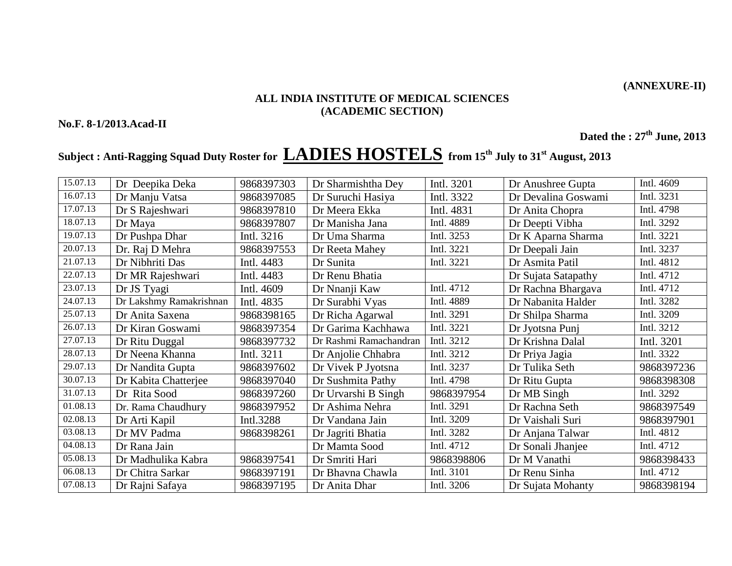**(ANNEXURE-II)**

#### **ALL INDIA INSTITUTE OF MEDICAL SCIENCES (ACADEMIC SECTION)**

**No.F. 8-1/2013.Acad-II**

**Dated the : 27th June, 2013**

## **Subject : Anti-Ragging Squad Duty Roster for LADIES HOSTELS from 15 th July to 31st August, 2013**

| 15.07.13 | Dr Deepika Deka         | 9868397303 | Dr Sharmishtha Dey     | Intl. 3201 | Dr Anushree Gupta   | Intl. 4609 |
|----------|-------------------------|------------|------------------------|------------|---------------------|------------|
| 16.07.13 | Dr Manju Vatsa          | 9868397085 | Dr Suruchi Hasiya      | Intl. 3322 | Dr Devalina Goswami | Intl. 3231 |
| 17.07.13 | Dr S Rajeshwari         | 9868397810 | Dr Meera Ekka          | Intl. 4831 | Dr Anita Chopra     | Intl. 4798 |
| 18.07.13 | Dr Maya                 | 9868397807 | Dr Manisha Jana        | Intl. 4889 | Dr Deepti Vibha     | Intl. 3292 |
| 19.07.13 | Dr Pushpa Dhar          | Intl. 3216 | Dr Uma Sharma          | Intl. 3253 | Dr K Aparna Sharma  | Intl. 3221 |
| 20.07.13 | Dr. Raj D Mehra         | 9868397553 | Dr Reeta Mahey         | Intl. 3221 | Dr Deepali Jain     | Intl. 3237 |
| 21.07.13 | Dr Nibhriti Das         | Intl. 4483 | Dr Sunita              | Intl. 3221 | Dr Asmita Patil     | Intl. 4812 |
| 22.07.13 | Dr MR Rajeshwari        | Intl. 4483 | Dr Renu Bhatia         |            | Dr Sujata Satapathy | Intl. 4712 |
| 23.07.13 | Dr JS Tyagi             | Intl. 4609 | Dr Nnanji Kaw          | Intl. 4712 | Dr Rachna Bhargava  | Intl. 4712 |
| 24.07.13 | Dr Lakshmy Ramakrishnan | Intl. 4835 | Dr Surabhi Vyas        | Intl. 4889 | Dr Nabanita Halder  | Intl. 3282 |
| 25.07.13 | Dr Anita Saxena         | 9868398165 | Dr Richa Agarwal       | Intl. 3291 | Dr Shilpa Sharma    | Intl. 3209 |
| 26.07.13 | Dr Kiran Goswami        | 9868397354 | Dr Garima Kachhawa     | Intl. 3221 | Dr Jyotsna Punj     | Intl. 3212 |
| 27.07.13 | Dr Ritu Duggal          | 9868397732 | Dr Rashmi Ramachandran | Intl. 3212 | Dr Krishna Dalal    | Intl. 3201 |
| 28.07.13 | Dr Neena Khanna         | Intl. 3211 | Dr Anjolie Chhabra     | Intl. 3212 | Dr Priya Jagia      | Intl. 3322 |
| 29.07.13 | Dr Nandita Gupta        | 9868397602 | Dr Vivek P Jyotsna     | Intl. 3237 | Dr Tulika Seth      | 9868397236 |
| 30.07.13 | Dr Kabita Chatterjee    | 9868397040 | Dr Sushmita Pathy      | Intl. 4798 | Dr Ritu Gupta       | 9868398308 |
| 31.07.13 | Dr Rita Sood            | 9868397260 | Dr Urvarshi B Singh    | 9868397954 | Dr MB Singh         | Intl. 3292 |
| 01.08.13 | Dr. Rama Chaudhury      | 9868397952 | Dr Ashima Nehra        | Intl. 3291 | Dr Rachna Seth      | 9868397549 |
| 02.08.13 | Dr Arti Kapil           | Intl.3288  | Dr Vandana Jain        | Intl. 3209 | Dr Vaishali Suri    | 9868397901 |
| 03.08.13 | Dr MV Padma             | 9868398261 | Dr Jagriti Bhatia      | Intl. 3282 | Dr Anjana Talwar    | Intl. 4812 |
| 04.08.13 | Dr Rana Jain            |            | Dr Mamta Sood          | Intl. 4712 | Dr Sonali Jhanjee   | Intl. 4712 |
| 05.08.13 | Dr Madhulika Kabra      | 9868397541 | Dr Smriti Hari         | 9868398806 | Dr M Vanathi        | 9868398433 |
| 06.08.13 | Dr Chitra Sarkar        | 9868397191 | Dr Bhavna Chawla       | Intl. 3101 | Dr Renu Sinha       | Intl. 4712 |
| 07.08.13 | Dr Rajni Safaya         | 9868397195 | Dr Anita Dhar          | Intl. 3206 | Dr Sujata Mohanty   | 9868398194 |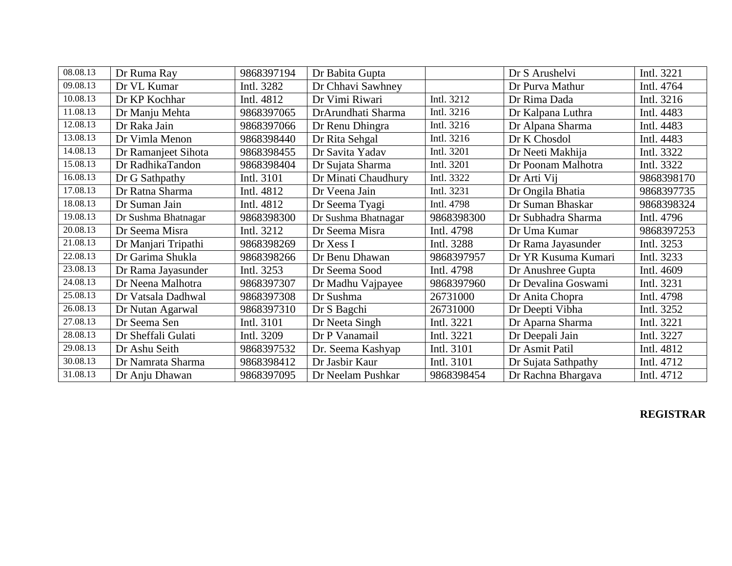| 08.08.13 | Dr Ruma Ray         | 9868397194 | Dr Babita Gupta     |            | Dr S Arushelvi      | Intl. 3221 |
|----------|---------------------|------------|---------------------|------------|---------------------|------------|
| 09.08.13 | Dr VL Kumar         | Intl. 3282 | Dr Chhavi Sawhney   |            | Dr Purva Mathur     | Intl. 4764 |
| 10.08.13 | Dr KP Kochhar       | Intl. 4812 | Dr Vimi Riwari      | Intl. 3212 | Dr Rima Dada        | Intl. 3216 |
| 11.08.13 | Dr Manju Mehta      | 9868397065 | DrArundhati Sharma  | Intl. 3216 | Dr Kalpana Luthra   | Intl. 4483 |
| 12.08.13 | Dr Raka Jain        | 9868397066 | Dr Renu Dhingra     | Intl. 3216 | Dr Alpana Sharma    | Intl. 4483 |
| 13.08.13 | Dr Vimla Menon      | 9868398440 | Dr Rita Sehgal      | Intl. 3216 | Dr K Chosdol        | Intl. 4483 |
| 14.08.13 | Dr Ramanjeet Sihota | 9868398455 | Dr Savita Yadav     | Intl. 3201 | Dr Neeti Makhija    | Intl. 3322 |
| 15.08.13 | Dr RadhikaTandon    | 9868398404 | Dr Sujata Sharma    | Intl. 3201 | Dr Poonam Malhotra  | Intl. 3322 |
| 16.08.13 | Dr G Sathpathy      | Intl. 3101 | Dr Minati Chaudhury | Intl. 3322 | Dr Arti Vij         | 9868398170 |
| 17.08.13 | Dr Ratna Sharma     | Intl. 4812 | Dr Veena Jain       | Intl. 3231 | Dr Ongila Bhatia    | 9868397735 |
| 18.08.13 | Dr Suman Jain       | Intl. 4812 | Dr Seema Tyagi      | Intl. 4798 | Dr Suman Bhaskar    | 9868398324 |
| 19.08.13 | Dr Sushma Bhatnagar | 9868398300 | Dr Sushma Bhatnagar | 9868398300 | Dr Subhadra Sharma  | Intl. 4796 |
| 20.08.13 | Dr Seema Misra      | Intl. 3212 | Dr Seema Misra      | Intl. 4798 | Dr Uma Kumar        | 9868397253 |
| 21.08.13 | Dr Manjari Tripathi | 9868398269 | Dr Xess I           | Intl. 3288 | Dr Rama Jayasunder  | Intl. 3253 |
| 22.08.13 | Dr Garima Shukla    | 9868398266 | Dr Benu Dhawan      | 9868397957 | Dr YR Kusuma Kumari | Intl. 3233 |
| 23.08.13 | Dr Rama Jayasunder  | Intl. 3253 | Dr Seema Sood       | Intl. 4798 | Dr Anushree Gupta   | Intl. 4609 |
| 24.08.13 | Dr Neena Malhotra   | 9868397307 | Dr Madhu Vajpayee   | 9868397960 | Dr Devalina Goswami | Intl. 3231 |
| 25.08.13 | Dr Vatsala Dadhwal  | 9868397308 | Dr Sushma           | 26731000   | Dr Anita Chopra     | Intl. 4798 |
| 26.08.13 | Dr Nutan Agarwal    | 9868397310 | Dr S Bagchi         | 26731000   | Dr Deepti Vibha     | Intl. 3252 |
| 27.08.13 | Dr Seema Sen        | Intl. 3101 | Dr Neeta Singh      | Intl. 3221 | Dr Aparna Sharma    | Intl. 3221 |
| 28.08.13 | Dr Sheffali Gulati  | Intl. 3209 | Dr P Vanamail       | Intl. 3221 | Dr Deepali Jain     | Intl. 3227 |
| 29.08.13 | Dr Ashu Seith       | 9868397532 | Dr. Seema Kashyap   | Intl. 3101 | Dr Asmit Patil      | Intl. 4812 |
| 30.08.13 | Dr Namrata Sharma   | 9868398412 | Dr Jasbir Kaur      | Intl. 3101 | Dr Sujata Sathpathy | Intl. 4712 |
| 31.08.13 | Dr Anju Dhawan      | 9868397095 | Dr Neelam Pushkar   | 9868398454 | Dr Rachna Bhargava  | Intl. 4712 |

### **REGISTRAR**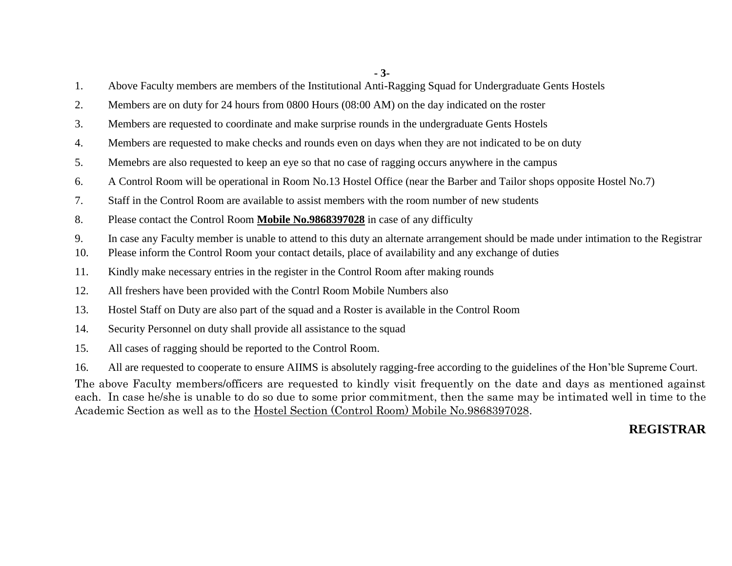**- 3-**

- 1. Above Faculty members are members of the Institutional Anti-Ragging Squad for Undergraduate Gents Hostels
- 2. Members are on duty for 24 hours from 0800 Hours (08:00 AM) on the day indicated on the roster
- 3. Members are requested to coordinate and make surprise rounds in the undergraduate Gents Hostels
- 4. Members are requested to make checks and rounds even on days when they are not indicated to be on duty
- 5. Memebrs are also requested to keep an eye so that no case of ragging occurs anywhere in the campus
- 6. A Control Room will be operational in Room No.13 Hostel Office (near the Barber and Tailor shops opposite Hostel No.7)
- 7. Staff in the Control Room are available to assist members with the room number of new students
- 8. Please contact the Control Room **Mobile No.9868397028** in case of any difficulty
- 9. In case any Faculty member is unable to attend to this duty an alternate arrangement should be made under intimation to the Registrar
- 10. Please inform the Control Room your contact details, place of availability and any exchange of duties
- 11. Kindly make necessary entries in the register in the Control Room after making rounds
- 12. All freshers have been provided with the Contrl Room Mobile Numbers also
- 13. Hostel Staff on Duty are also part of the squad and a Roster is available in the Control Room
- 14. Security Personnel on duty shall provide all assistance to the squad
- 15. All cases of ragging should be reported to the Control Room.
- 16. All are requested to cooperate to ensure AIIMS is absolutely ragging-free according to the guidelines of the Hon'ble Supreme Court.

The above Faculty members/officers are requested to kindly visit frequently on the date and days as mentioned against each. In case he/she is unable to do so due to some prior commitment, then the same may be intimated well in time to the Academic Section as well as to the Hostel Section (Control Room) Mobile No.9868397028.

### **REGISTRAR**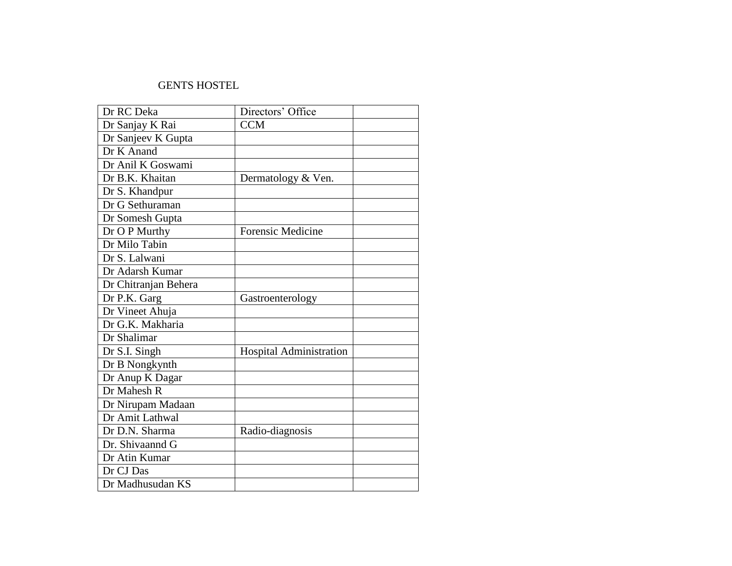#### GENTS HOSTEL

| Dr RC Deka           | Directors' Office        |  |
|----------------------|--------------------------|--|
| Dr Sanjay K Rai      | <b>CCM</b>               |  |
| Dr Sanjeev K Gupta   |                          |  |
| Dr K Anand           |                          |  |
| Dr Anil K Goswami    |                          |  |
| Dr B.K. Khaitan      | Dermatology & Ven.       |  |
| Dr S. Khandpur       |                          |  |
| Dr G Sethuraman      |                          |  |
| Dr Somesh Gupta      |                          |  |
| Dr O P Murthy        | <b>Forensic Medicine</b> |  |
| Dr Milo Tabin        |                          |  |
| Dr S. Lalwani        |                          |  |
| Dr Adarsh Kumar      |                          |  |
| Dr Chitranjan Behera |                          |  |
| Dr P.K. Garg         | Gastroenterology         |  |
| Dr Vineet Ahuja      |                          |  |
| Dr G.K. Makharia     |                          |  |
| Dr Shalimar          |                          |  |
| Dr S.I. Singh        | Hospital Administration  |  |
| Dr B Nongkynth       |                          |  |
| Dr Anup K Dagar      |                          |  |
| Dr Mahesh R          |                          |  |
| Dr Nirupam Madaan    |                          |  |
| Dr Amit Lathwal      |                          |  |
| Dr D.N. Sharma       | Radio-diagnosis          |  |
| Dr. Shivaannd G      |                          |  |
| Dr Atin Kumar        |                          |  |
| Dr CJ Das            |                          |  |
| Dr Madhusudan KS     |                          |  |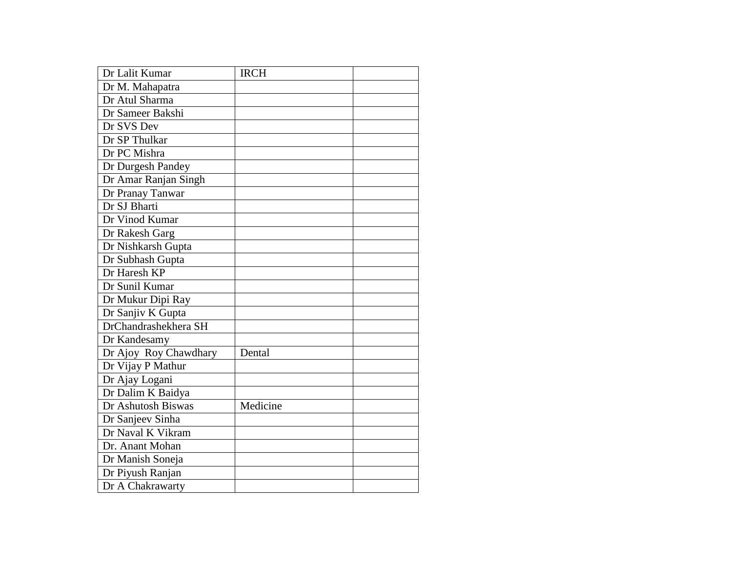| Dr Lalit Kumar        | <b>IRCH</b> |  |
|-----------------------|-------------|--|
| Dr M. Mahapatra       |             |  |
| Dr Atul Sharma        |             |  |
| Dr Sameer Bakshi      |             |  |
| Dr SVS Dev            |             |  |
| Dr SP Thulkar         |             |  |
| Dr PC Mishra          |             |  |
| Dr Durgesh Pandey     |             |  |
| Dr Amar Ranjan Singh  |             |  |
| Dr Pranay Tanwar      |             |  |
| Dr SJ Bharti          |             |  |
| Dr Vinod Kumar        |             |  |
| Dr Rakesh Garg        |             |  |
| Dr Nishkarsh Gupta    |             |  |
| Dr Subhash Gupta      |             |  |
| Dr Haresh KP          |             |  |
| Dr Sunil Kumar        |             |  |
| Dr Mukur Dipi Ray     |             |  |
| Dr Sanjiv K Gupta     |             |  |
| DrChandrashekhera SH  |             |  |
| Dr Kandesamy          |             |  |
| Dr Ajoy Roy Chawdhary | Dental      |  |
| Dr Vijay P Mathur     |             |  |
| Dr Ajay Logani        |             |  |
| Dr Dalim K Baidya     |             |  |
| Dr Ashutosh Biswas    | Medicine    |  |
| Dr Sanjeev Sinha      |             |  |
| Dr Naval K Vikram     |             |  |
| Dr. Anant Mohan       |             |  |
| Dr Manish Soneja      |             |  |
| Dr Piyush Ranjan      |             |  |
| Dr A Chakrawarty      |             |  |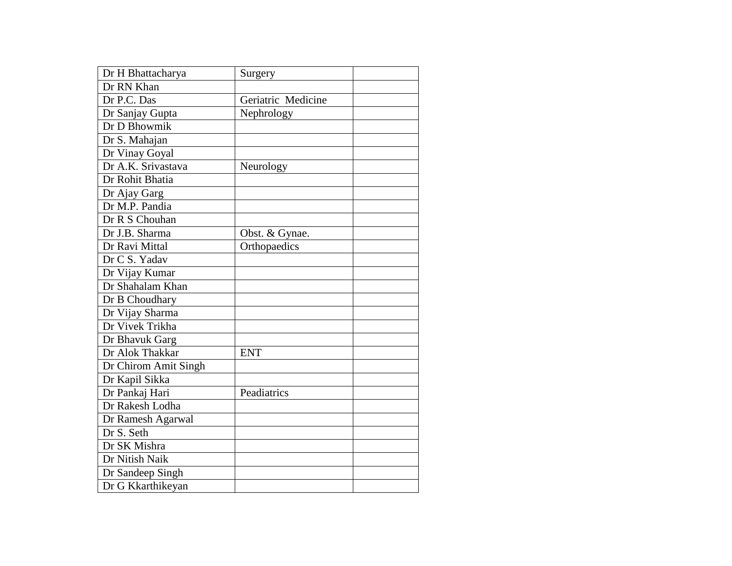| Dr H Bhattacharya    | Surgery            |  |
|----------------------|--------------------|--|
| Dr RN Khan           |                    |  |
| Dr P.C. Das          | Geriatric Medicine |  |
| Dr Sanjay Gupta      | Nephrology         |  |
| Dr D Bhowmik         |                    |  |
| Dr S. Mahajan        |                    |  |
| Dr Vinay Goyal       |                    |  |
| Dr A.K. Srivastava   | Neurology          |  |
| Dr Rohit Bhatia      |                    |  |
| Dr Ajay Garg         |                    |  |
| Dr M.P. Pandia       |                    |  |
| Dr R S Chouhan       |                    |  |
| Dr J.B. Sharma       | Obst. & Gynae.     |  |
| Dr Ravi Mittal       | Orthopaedics       |  |
| Dr C S. Yadav        |                    |  |
| Dr Vijay Kumar       |                    |  |
| Dr Shahalam Khan     |                    |  |
| Dr B Choudhary       |                    |  |
| Dr Vijay Sharma      |                    |  |
| Dr Vivek Trikha      |                    |  |
| Dr Bhavuk Garg       |                    |  |
| Dr Alok Thakkar      | <b>ENT</b>         |  |
| Dr Chirom Amit Singh |                    |  |
| Dr Kapil Sikka       |                    |  |
| Dr Pankaj Hari       | Peadiatrics        |  |
| Dr Rakesh Lodha      |                    |  |
| Dr Ramesh Agarwal    |                    |  |
| Dr S. Seth           |                    |  |
| Dr SK Mishra         |                    |  |
| Dr Nitish Naik       |                    |  |
| Dr Sandeep Singh     |                    |  |
| Dr G Kkarthikeyan    |                    |  |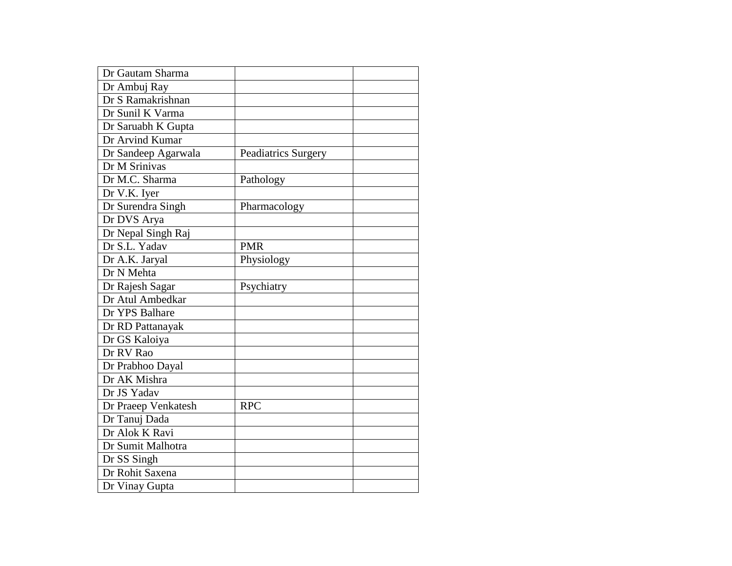| Dr Gautam Sharma    |                     |  |
|---------------------|---------------------|--|
| Dr Ambuj Ray        |                     |  |
| Dr S Ramakrishnan   |                     |  |
| Dr Sunil K Varma    |                     |  |
| Dr Saruabh K Gupta  |                     |  |
| Dr Arvind Kumar     |                     |  |
| Dr Sandeep Agarwala | Peadiatrics Surgery |  |
| Dr M Srinivas       |                     |  |
| Dr M.C. Sharma      | Pathology           |  |
| Dr V.K. Iyer        |                     |  |
| Dr Surendra Singh   | Pharmacology        |  |
| Dr DVS Arya         |                     |  |
| Dr Nepal Singh Raj  |                     |  |
| Dr S.L. Yadav       | <b>PMR</b>          |  |
| Dr A.K. Jaryal      | Physiology          |  |
| Dr N Mehta          |                     |  |
| Dr Rajesh Sagar     | Psychiatry          |  |
| Dr Atul Ambedkar    |                     |  |
| Dr YPS Balhare      |                     |  |
| Dr RD Pattanayak    |                     |  |
| Dr GS Kaloiya       |                     |  |
| Dr RV Rao           |                     |  |
| Dr Prabhoo Dayal    |                     |  |
| Dr AK Mishra        |                     |  |
| Dr JS Yadav         |                     |  |
| Dr Praeep Venkatesh | <b>RPC</b>          |  |
| Dr Tanuj Dada       |                     |  |
| Dr Alok K Ravi      |                     |  |
| Dr Sumit Malhotra   |                     |  |
| Dr SS Singh         |                     |  |
| Dr Rohit Saxena     |                     |  |
| Dr Vinay Gupta      |                     |  |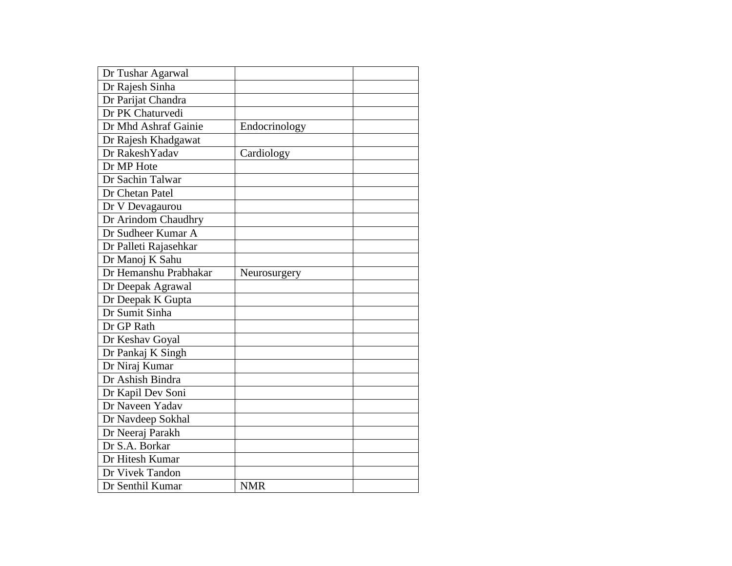| Dr Tushar Agarwal     |               |  |
|-----------------------|---------------|--|
| Dr Rajesh Sinha       |               |  |
| Dr Parijat Chandra    |               |  |
| Dr PK Chaturvedi      |               |  |
| Dr Mhd Ashraf Gainie  | Endocrinology |  |
| Dr Rajesh Khadgawat   |               |  |
| Dr RakeshYadav        | Cardiology    |  |
| Dr MP Hote            |               |  |
| Dr Sachin Talwar      |               |  |
| Dr Chetan Patel       |               |  |
| Dr V Devagaurou       |               |  |
| Dr Arindom Chaudhry   |               |  |
| Dr Sudheer Kumar A    |               |  |
| Dr Palleti Rajasehkar |               |  |
| Dr Manoj K Sahu       |               |  |
| Dr Hemanshu Prabhakar | Neurosurgery  |  |
| Dr Deepak Agrawal     |               |  |
| Dr Deepak K Gupta     |               |  |
| Dr Sumit Sinha        |               |  |
| Dr GP Rath            |               |  |
| Dr Keshav Goyal       |               |  |
| Dr Pankaj K Singh     |               |  |
| Dr Niraj Kumar        |               |  |
| Dr Ashish Bindra      |               |  |
| Dr Kapil Dev Soni     |               |  |
| Dr Naveen Yadav       |               |  |
| Dr Navdeep Sokhal     |               |  |
| Dr Neeraj Parakh      |               |  |
| Dr S.A. Borkar        |               |  |
| Dr Hitesh Kumar       |               |  |
| Dr Vivek Tandon       |               |  |
| Dr Senthil Kumar      | <b>NMR</b>    |  |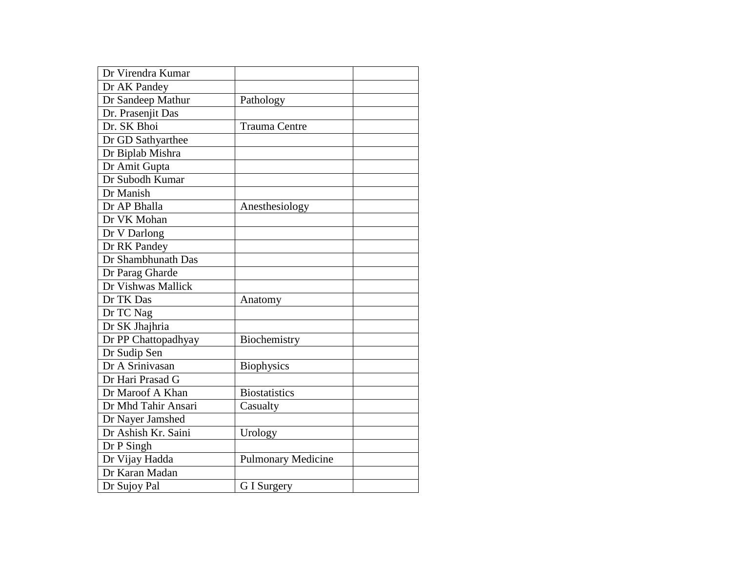| Dr Virendra Kumar   |                           |  |
|---------------------|---------------------------|--|
| Dr AK Pandey        |                           |  |
| Dr Sandeep Mathur   | Pathology                 |  |
| Dr. Prasenjit Das   |                           |  |
| Dr. SK Bhoi         | <b>Trauma Centre</b>      |  |
| Dr GD Sathyarthee   |                           |  |
| Dr Biplab Mishra    |                           |  |
| Dr Amit Gupta       |                           |  |
| Dr Subodh Kumar     |                           |  |
| Dr Manish           |                           |  |
| Dr AP Bhalla        | Anesthesiology            |  |
| Dr VK Mohan         |                           |  |
| Dr V Darlong        |                           |  |
| Dr RK Pandey        |                           |  |
| Dr Shambhunath Das  |                           |  |
| Dr Parag Gharde     |                           |  |
| Dr Vishwas Mallick  |                           |  |
| Dr TK Das           | Anatomy                   |  |
| Dr TC Nag           |                           |  |
| Dr SK Jhajhria      |                           |  |
| Dr PP Chattopadhyay | Biochemistry              |  |
| Dr Sudip Sen        |                           |  |
| Dr A Srinivasan     | <b>Biophysics</b>         |  |
| Dr Hari Prasad G    |                           |  |
| Dr Maroof A Khan    | <b>Biostatistics</b>      |  |
| Dr Mhd Tahir Ansari | Casualty                  |  |
| Dr Nayer Jamshed    |                           |  |
| Dr Ashish Kr. Saini | Urology                   |  |
| Dr P Singh          |                           |  |
| Dr Vijay Hadda      | <b>Pulmonary Medicine</b> |  |
| Dr Karan Madan      |                           |  |
| Dr Sujoy Pal        | G I Surgery               |  |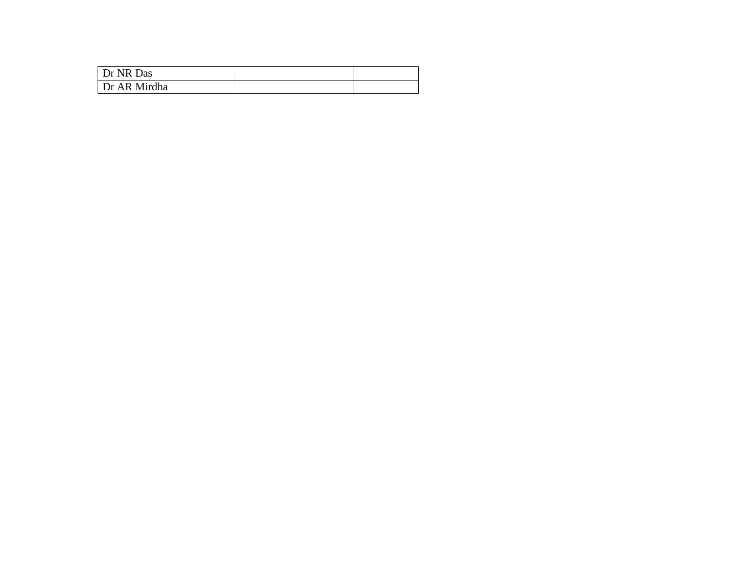| Dr NR Das    |  |
|--------------|--|
| Dr AR Mirdha |  |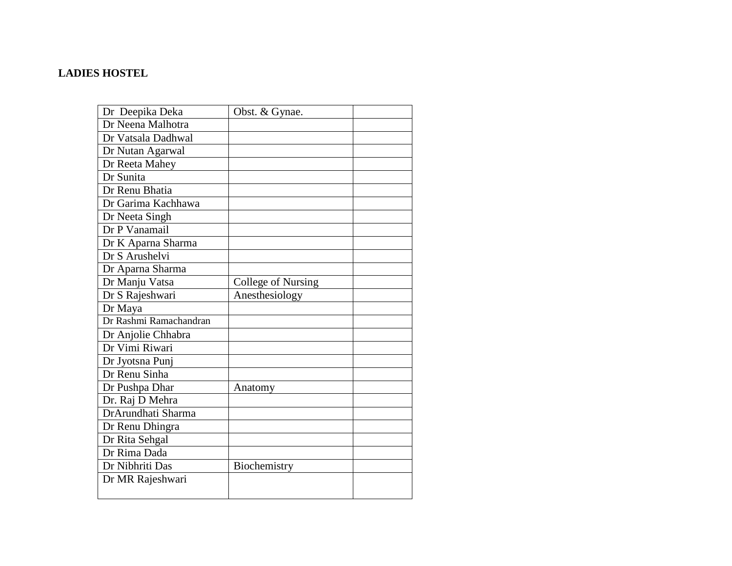### **LADIES HOSTEL**

| Dr Deepika Deka        | Obst. & Gynae.            |  |
|------------------------|---------------------------|--|
| Dr Neena Malhotra      |                           |  |
| Dr Vatsala Dadhwal     |                           |  |
| Dr Nutan Agarwal       |                           |  |
| Dr Reeta Mahey         |                           |  |
| Dr Sunita              |                           |  |
| Dr Renu Bhatia         |                           |  |
| Dr Garima Kachhawa     |                           |  |
| Dr Neeta Singh         |                           |  |
| Dr P Vanamail          |                           |  |
| Dr K Aparna Sharma     |                           |  |
| Dr S Arushelvi         |                           |  |
| Dr Aparna Sharma       |                           |  |
| Dr Manju Vatsa         | <b>College of Nursing</b> |  |
| Dr S Rajeshwari        | Anesthesiology            |  |
| Dr Maya                |                           |  |
| Dr Rashmi Ramachandran |                           |  |
| Dr Anjolie Chhabra     |                           |  |
| Dr Vimi Riwari         |                           |  |
| Dr Jyotsna Punj        |                           |  |
| Dr Renu Sinha          |                           |  |
| Dr Pushpa Dhar         | Anatomy                   |  |
| Dr. Raj D Mehra        |                           |  |
| DrArundhati Sharma     |                           |  |
| Dr Renu Dhingra        |                           |  |
| Dr Rita Sehgal         |                           |  |
| Dr Rima Dada           |                           |  |
| Dr Nibhriti Das        | Biochemistry              |  |
| Dr MR Rajeshwari       |                           |  |
|                        |                           |  |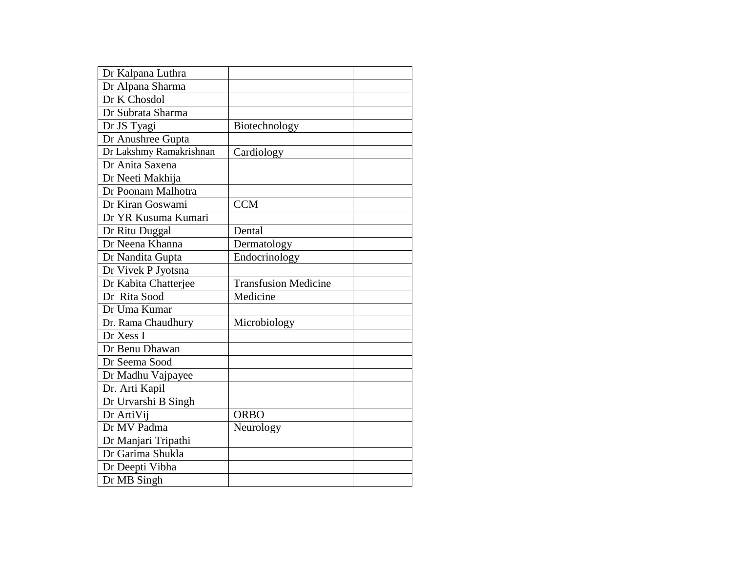| Dr Kalpana Luthra       |                             |  |
|-------------------------|-----------------------------|--|
| Dr Alpana Sharma        |                             |  |
| Dr K Chosdol            |                             |  |
| Dr Subrata Sharma       |                             |  |
| Dr JS Tyagi             | Biotechnology               |  |
| Dr Anushree Gupta       |                             |  |
| Dr Lakshmy Ramakrishnan | Cardiology                  |  |
| Dr Anita Saxena         |                             |  |
| Dr Neeti Makhija        |                             |  |
| Dr Poonam Malhotra      |                             |  |
| Dr Kiran Goswami        | <b>CCM</b>                  |  |
| Dr YR Kusuma Kumari     |                             |  |
| Dr Ritu Duggal          | Dental                      |  |
| Dr Neena Khanna         | Dermatology                 |  |
| Dr Nandita Gupta        | Endocrinology               |  |
| Dr Vivek P Jyotsna      |                             |  |
| Dr Kabita Chatterjee    | <b>Transfusion Medicine</b> |  |
| Dr Rita Sood            | Medicine                    |  |
| Dr Uma Kumar            |                             |  |
| Dr. Rama Chaudhury      | Microbiology                |  |
| Dr Xess I               |                             |  |
| Dr Benu Dhawan          |                             |  |
| Dr Seema Sood           |                             |  |
| Dr Madhu Vajpayee       |                             |  |
| Dr. Arti Kapil          |                             |  |
| Dr Urvarshi B Singh     |                             |  |
| Dr ArtiVij              | <b>ORBO</b>                 |  |
| Dr MV Padma             | Neurology                   |  |
| Dr Manjari Tripathi     |                             |  |
| Dr Garima Shukla        |                             |  |
| Dr Deepti Vibha         |                             |  |
| Dr MB Singh             |                             |  |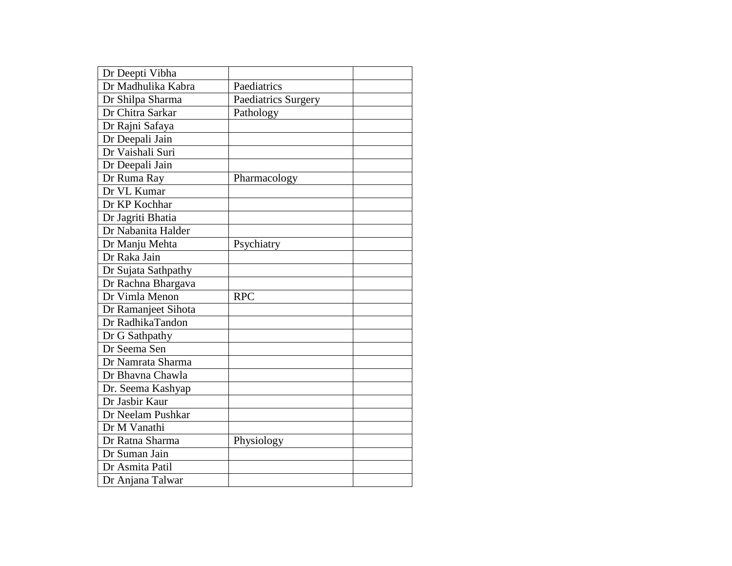| Dr Deepti Vibha     |                     |  |
|---------------------|---------------------|--|
| Dr Madhulika Kabra  | Paediatrics         |  |
| Dr Shilpa Sharma    | Paediatrics Surgery |  |
| Dr Chitra Sarkar    | Pathology           |  |
| Dr Rajni Safaya     |                     |  |
| Dr Deepali Jain     |                     |  |
| Dr Vaishali Suri    |                     |  |
| Dr Deepali Jain     |                     |  |
| Dr Ruma Ray         | Pharmacology        |  |
| Dr VL Kumar         |                     |  |
| Dr KP Kochhar       |                     |  |
| Dr Jagriti Bhatia   |                     |  |
| Dr Nabanita Halder  |                     |  |
| Dr Manju Mehta      | Psychiatry          |  |
| Dr Raka Jain        |                     |  |
| Dr Sujata Sathpathy |                     |  |
| Dr Rachna Bhargava  |                     |  |
| Dr Vimla Menon      | <b>RPC</b>          |  |
| Dr Ramanjeet Sihota |                     |  |
| Dr RadhikaTandon    |                     |  |
| Dr G Sathpathy      |                     |  |
| Dr Seema Sen        |                     |  |
| Dr Namrata Sharma   |                     |  |
| Dr Bhavna Chawla    |                     |  |
| Dr. Seema Kashyap   |                     |  |
| Dr Jasbir Kaur      |                     |  |
| Dr Neelam Pushkar   |                     |  |
| Dr M Vanathi        |                     |  |
| Dr Ratna Sharma     | Physiology          |  |
| Dr Suman Jain       |                     |  |
| Dr Asmita Patil     |                     |  |
| Dr Anjana Talwar    |                     |  |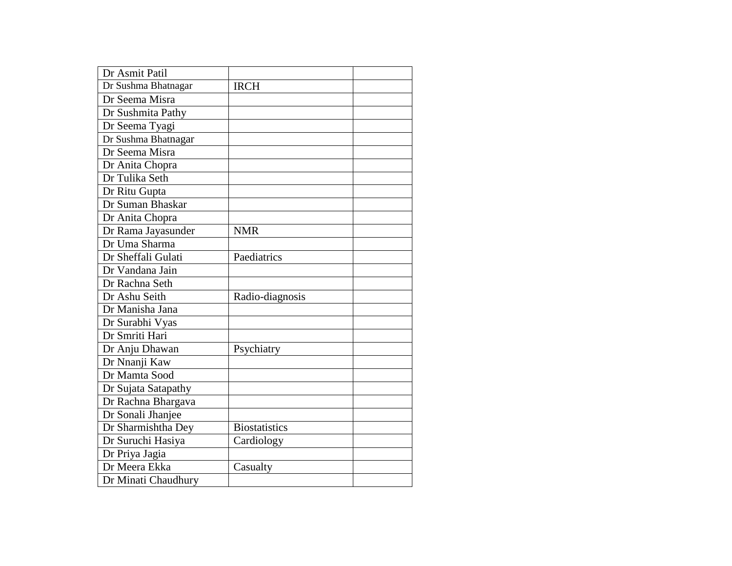| Dr Asmit Patil      |                      |  |
|---------------------|----------------------|--|
| Dr Sushma Bhatnagar | <b>IRCH</b>          |  |
| Dr Seema Misra      |                      |  |
| Dr Sushmita Pathy   |                      |  |
| Dr Seema Tyagi      |                      |  |
| Dr Sushma Bhatnagar |                      |  |
| Dr Seema Misra      |                      |  |
| Dr Anita Chopra     |                      |  |
| Dr Tulika Seth      |                      |  |
| Dr Ritu Gupta       |                      |  |
| Dr Suman Bhaskar    |                      |  |
| Dr Anita Chopra     |                      |  |
| Dr Rama Jayasunder  | <b>NMR</b>           |  |
| Dr Uma Sharma       |                      |  |
| Dr Sheffali Gulati  | Paediatrics          |  |
| Dr Vandana Jain     |                      |  |
| Dr Rachna Seth      |                      |  |
| Dr Ashu Seith       | Radio-diagnosis      |  |
| Dr Manisha Jana     |                      |  |
| Dr Surabhi Vyas     |                      |  |
| Dr Smriti Hari      |                      |  |
| Dr Anju Dhawan      | Psychiatry           |  |
| Dr Nnanji Kaw       |                      |  |
| Dr Mamta Sood       |                      |  |
| Dr Sujata Satapathy |                      |  |
| Dr Rachna Bhargava  |                      |  |
| Dr Sonali Jhanjee   |                      |  |
| Dr Sharmishtha Dey  | <b>Biostatistics</b> |  |
| Dr Suruchi Hasiya   | Cardiology           |  |
| Dr Priya Jagia      |                      |  |
| Dr Meera Ekka       | Casualty             |  |
| Dr Minati Chaudhury |                      |  |